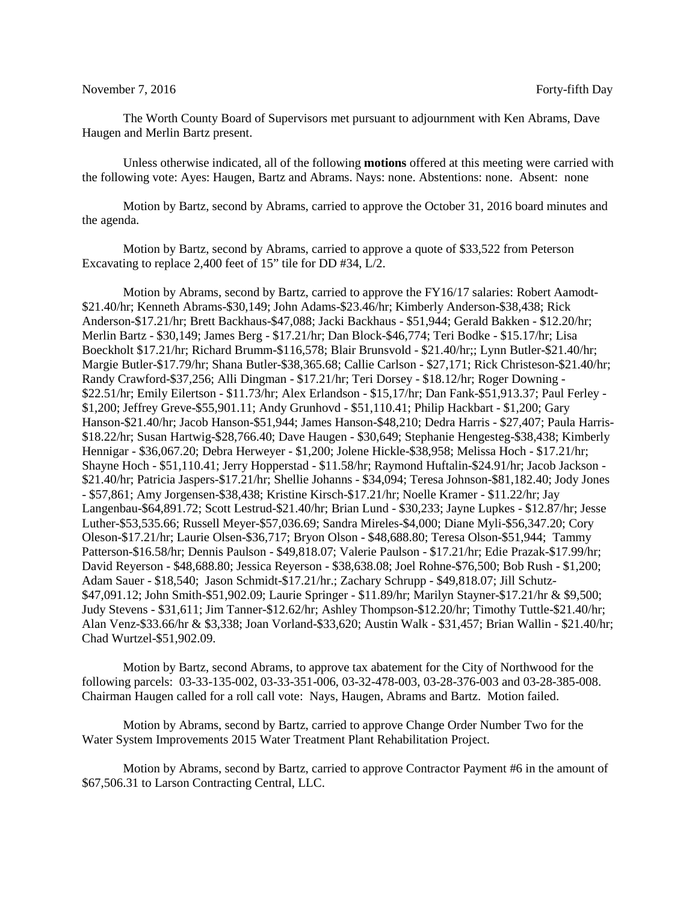## November 7, 2016 Forty-fifth Day

The Worth County Board of Supervisors met pursuant to adjournment with Ken Abrams, Dave Haugen and Merlin Bartz present.

Unless otherwise indicated, all of the following **motions** offered at this meeting were carried with the following vote: Ayes: Haugen, Bartz and Abrams. Nays: none. Abstentions: none. Absent: none

Motion by Bartz, second by Abrams, carried to approve the October 31, 2016 board minutes and the agenda.

Motion by Bartz, second by Abrams, carried to approve a quote of \$33,522 from Peterson Excavating to replace 2,400 feet of 15" tile for DD #34, L/2.

Motion by Abrams, second by Bartz, carried to approve the FY16/17 salaries: Robert Aamodt- \$21.40/hr; Kenneth Abrams-\$30,149; John Adams-\$23.46/hr; Kimberly Anderson-\$38,438; Rick Anderson-\$17.21/hr; Brett Backhaus-\$47,088; Jacki Backhaus - \$51,944; Gerald Bakken - \$12.20/hr; Merlin Bartz - \$30,149; James Berg - \$17.21/hr; Dan Block-\$46,774; Teri Bodke - \$15.17/hr; Lisa Boeckholt \$17.21/hr; Richard Brumm-\$116,578; Blair Brunsvold - \$21.40/hr;; Lynn Butler-\$21.40/hr; Margie Butler-\$17.79/hr; Shana Butler-\$38,365.68; Callie Carlson - \$27,171; Rick Christeson-\$21.40/hr; Randy Crawford-\$37,256; Alli Dingman - \$17.21/hr; Teri Dorsey - \$18.12/hr; Roger Downing - \$22.51/hr; Emily Eilertson - \$11.73/hr; Alex Erlandson - \$15,17/hr; Dan Fank-\$51,913.37; Paul Ferley - \$1,200; Jeffrey Greve-\$55,901.11; Andy Grunhovd - \$51,110.41; Philip Hackbart - \$1,200; Gary Hanson-\$21.40/hr; Jacob Hanson-\$51,944; James Hanson-\$48,210; Dedra Harris - \$27,407; Paula Harris- \$18.22/hr; Susan Hartwig-\$28,766.40; Dave Haugen - \$30,649; Stephanie Hengesteg-\$38,438; Kimberly Hennigar - \$36,067.20; Debra Herweyer - \$1,200; Jolene Hickle-\$38,958; Melissa Hoch - \$17.21/hr; Shayne Hoch - \$51,110.41; Jerry Hopperstad - \$11.58/hr; Raymond Huftalin-\$24.91/hr; Jacob Jackson - \$21.40/hr; Patricia Jaspers-\$17.21/hr; Shellie Johanns - \$34,094; Teresa Johnson-\$81,182.40; Jody Jones - \$57,861; Amy Jorgensen-\$38,438; Kristine Kirsch-\$17.21/hr; Noelle Kramer - \$11.22/hr; Jay Langenbau-\$64,891.72; Scott Lestrud-\$21.40/hr; Brian Lund - \$30,233; Jayne Lupkes - \$12.87/hr; Jesse Luther-\$53,535.66; Russell Meyer-\$57,036.69; Sandra Mireles-\$4,000; Diane Myli-\$56,347.20; Cory Oleson-\$17.21/hr; Laurie Olsen-\$36,717; Bryon Olson - \$48,688.80; Teresa Olson-\$51,944; Tammy Patterson-\$16.58/hr; Dennis Paulson - \$49,818.07; Valerie Paulson - \$17.21/hr; Edie Prazak-\$17.99/hr; David Reyerson - \$48,688.80; Jessica Reyerson - \$38,638.08; Joel Rohne-\$76,500; Bob Rush - \$1,200; Adam Sauer - \$18,540; Jason Schmidt-\$17.21/hr.; Zachary Schrupp - \$49,818.07; Jill Schutz- \$47,091.12; John Smith-\$51,902.09; Laurie Springer - \$11.89/hr; Marilyn Stayner-\$17.21/hr & \$9,500; Judy Stevens - \$31,611; Jim Tanner-\$12.62/hr; Ashley Thompson-\$12.20/hr; Timothy Tuttle-\$21.40/hr; Alan Venz-\$33.66/hr & \$3,338; Joan Vorland-\$33,620; Austin Walk - \$31,457; Brian Wallin - \$21.40/hr; Chad Wurtzel-\$51,902.09.

Motion by Bartz, second Abrams, to approve tax abatement for the City of Northwood for the following parcels: 03-33-135-002, 03-33-351-006, 03-32-478-003, 03-28-376-003 and 03-28-385-008. Chairman Haugen called for a roll call vote: Nays, Haugen, Abrams and Bartz. Motion failed.

Motion by Abrams, second by Bartz, carried to approve Change Order Number Two for the Water System Improvements 2015 Water Treatment Plant Rehabilitation Project.

Motion by Abrams, second by Bartz, carried to approve Contractor Payment #6 in the amount of \$67,506.31 to Larson Contracting Central, LLC.